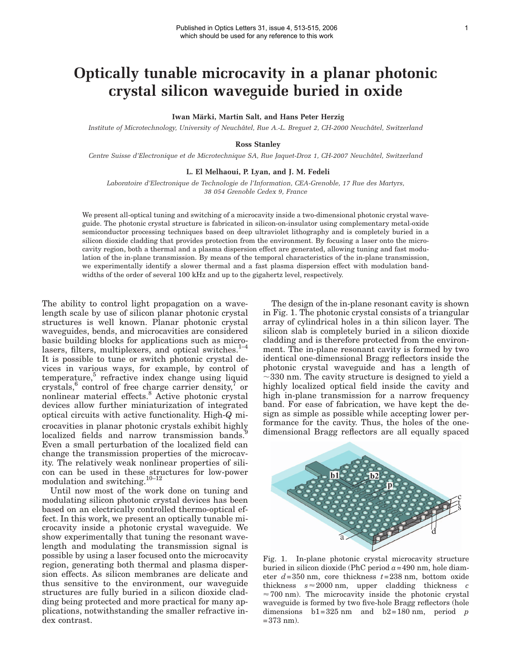## **Optically tunable microcavity in a planar photonic crystal silicon waveguide buried in oxide**

**Iwan Märki, Martin Salt, and Hans Peter Herzig**

*Institute of Microtechnology, University of Neuchâtel, Rue A.-L. Breguet 2, CH-2000 Neuchâtel, Switzerland*

**Ross Stanley**

*Centre Suisse d'Electronique et de Microtechnique SA, Rue Jaquet-Droz 1, CH-2007 Neuchâtel, Switzerland*

## **L. El Melhaoui, P. Lyan, and J. M. Fedeli**

*Laboratoire d'Electronique de Technologie de l'Information, CEA-Grenoble, 17 Rue des Martyrs, 38 054 Grenoble Cedex 9, France*

We present all-optical tuning and switching of a microcavity inside a two-dimensional photonic crystal waveguide. The photonic crystal structure is fabricated in silicon-on-insulator using complementary metal-oxide semiconductor processing techniques based on deep ultraviolet lithography and is completely buried in a silicon dioxide cladding that provides protection from the environment. By focusing a laser onto the microcavity region, both a thermal and a plasma dispersion effect are generated, allowing tuning and fast modulation of the in-plane transmission. By means of the temporal characteristics of the in-plane transmission, we experimentally identify a slower thermal and a fast plasma dispersion effect with modulation bandwidths of the order of several 100 kHz and up to the gigahertz level, respectively.

The ability to control light propagation on a wavelength scale by use of silicon planar photonic crystal structures is well known. Planar photonic crystal waveguides, bends, and microcavities are considered basic building blocks for applications such as microlasers, filters, multiplexers, and optical switches.<sup>1-4</sup> It is possible to tune or switch photonic crystal devices in various ways, for example, by control of temperature,<sup>5</sup> refractive index change using liquid crystals,  $6$  control of free charge carrier density,  $7$  or nonlinear material effects.<sup>8</sup> Active photonic crystal devices allow further miniaturization of integrated optical circuits with active functionality. High-*Q* microcavities in planar photonic crystals exhibit highly localized fields and narrow transmission bands.<sup>9</sup> Even a small perturbation of the localized field can change the transmission properties of the microcavity. The relatively weak nonlinear properties of silicon can be used in these structures for low-power modulation and switching. $10-12$ 

Until now most of the work done on tuning and modulating silicon photonic crystal devices has been based on an electrically controlled thermo-optical effect. In this work, we present an optically tunable microcavity inside a photonic crystal waveguide. We show experimentally that tuning the resonant wavelength and modulating the transmission signal is possible by using a laser focused onto the microcavity region, generating both thermal and plasma dispersion effects. As silicon membranes are delicate and thus sensitive to the environment, our waveguide structures are fully buried in a silicon dioxide cladding being protected and more practical for many applications, notwithstanding the smaller refractive index contrast.

The design of the in-plane resonant cavity is shown in Fig. 1. The photonic crystal consists of a triangular array of cylindrical holes in a thin silicon layer. The silicon slab is completely buried in a silicon dioxide cladding and is therefore protected from the environment. The in-plane resonant cavity is formed by two identical one-dimensional Bragg reflectors inside the photonic crystal waveguide and has a length of  $\sim$ 330 nm. The cavity structure is designed to yield a highly localized optical field inside the cavity and high in-plane transmission for a narrow frequency band. For ease of fabrication, we have kept the design as simple as possible while accepting lower performance for the cavity. Thus, the holes of the onedimensional Bragg reflectors are all equally spaced



Fig. 1. In-plane photonic crystal microcavity structure buried in silicon dioxide (PhC period *a*=490 nm, hole diameter *d*=350 nm, core thickness *t*=238 nm, bottom oxide  $\text{thickness}$   $s \approx 2000 \text{ nm}$ , upper cladding thickness *c*  $\approx$  700 nm). The microcavity inside the photonic crystal waveguide is formed by two five-hole Bragg reflectors (hole dimensions  $b1=325$  nm and  $b2=180$  nm, period *p*  $=373$  nm).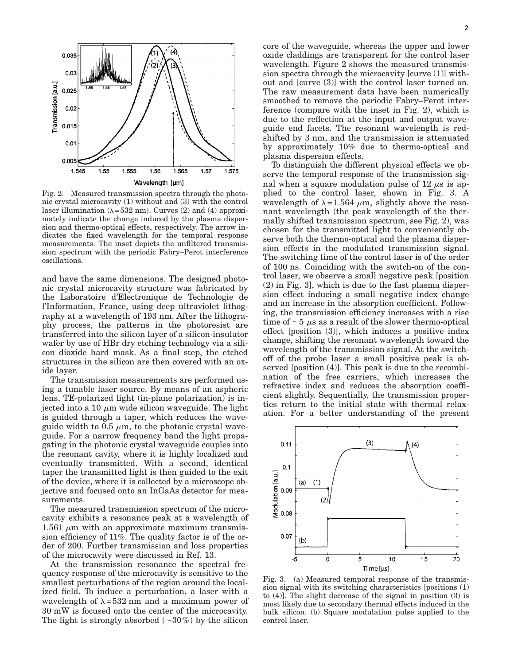

Fig. 2. Measured transmission spectra through the photonic crystal microcavity (1) without and (3) with the control laser illumination ( $\lambda = 532$  nm). Curves (2) and (4) approximately indicate the change induced by the plasma dispersion and thermo-optical effects, respectively. The arrow indicates the fixed wavelength for the temporal response measurements. The inset depicts the unfiltered transmission spectrum with the periodic Fabry–Perot interference oscillations.

and have the same dimensions. The designed photonic crystal microcavity structure was fabricated by the Laboratoire d'Electronique de Technologie de l'Information, France, using deep ultraviolet lithography at a wavelength of 193 nm. After the lithography process, the patterns in the photoresist are transferred into the silicon layer of a silicon-insulator wafer by use of HBr dry etching technology via a silicon dioxide hard mask. As a final step, the etched structures in the silicon are then covered with an oxide layer.

The transmission measurements are performed using a tunable laser source. By means of an aspheric lens, TE-polarized light (in-plane polarization) is injected into a 10  $\mu$ m wide silicon waveguide. The light is guided through a taper, which reduces the waveguide width to 0.5  $\mu$ m, to the photonic crystal waveguide. For a narrow frequency band the light propagating in the photonic crystal waveguide couples into the resonant cavity, where it is highly localized and eventually transmitted. With a second, identical taper the transmitted light is then guided to the exit of the device, where it is collected by a microscope objective and focused onto an InGaAs detector for measurements.

The measured transmission spectrum of the microcavity exhibits a resonance peak at a wavelength of 1.561  $\mu$ m with an approximate maximum transmission efficiency of 11%. The quality factor is of the order of 200. Further transmission and loss properties of the microcavity were discussed in Ref. 13.

At the transmission resonance the spectral frequency response of the microcavity is sensitive to the smallest perturbations of the region around the localized field. To induce a perturbation, a laser with a wavelength of  $\lambda = 532$  nm and a maximum power of 30 mW is focused onto the center of the microcavity. The light is strongly absorbed  $(\sim 30\%)$  by the silicon core of the waveguide, whereas the upper and lower oxide claddings are transparent for the control laser wavelength. Figure 2 shows the measured transmission spectra through the microcavity [curve (1)] without and [curve (3)] with the control laser turned on. The raw measurement data have been numerically smoothed to remove the periodic Fabry–Perot interference (compare with the inset in Fig. 2), which is due to the reflection at the input and output waveguide end facets. The resonant wavelength is redshifted by 3 nm, and the transmission is attenuated by approximately 10% due to thermo-optical and plasma dispersion effects.

To distinguish the different physical effects we observe the temporal response of the transmission signal when a square modulation pulse of 12  $\mu$ s is applied to the control laser, shown in Fig. 3. A wavelength of  $\lambda = 1.564 \mu m$ , slightly above the resonant wavelength (the peak wavelength of the thermally shifted transmission spectrum, see Fig. 2), was chosen for the transmitted light to conveniently observe both the thermo-optical and the plasma dispersion effects in the modulated transmission signal. The switching time of the control laser is of the order of 100 ns. Coinciding with the switch-on of the control laser, we observe a small negative peak [position (2) in Fig. 3], which is due to the fast plasma dispersion effect inducing a small negative index change and an increase in the absorption coefficient. Following, the transmission efficiency increases with a rise time of  $\sim$  5  $\mu$ s as a result of the slower thermo-optical effect [position (3)], which induces a positive index change, shifting the resonant wavelength toward the wavelength of the transmission signal. At the switchoff of the probe laser a small positive peak is observed [position (4)]. This peak is due to the recombination of the free carriers, which increases the refractive index and reduces the absorption coefficient slightly. Sequentially, the transmission properties return to the initial state with thermal relaxation. For a better understanding of the present



Fig. 3. (a) Measured temporal response of the transmission signal with its switching characteristics [positions (1) to (4)]. The slight decrease of the signal in position (3) is most likely due to secondary thermal effects induced in the bulk silicon. (b) Square modulation pulse applied to the control laser.